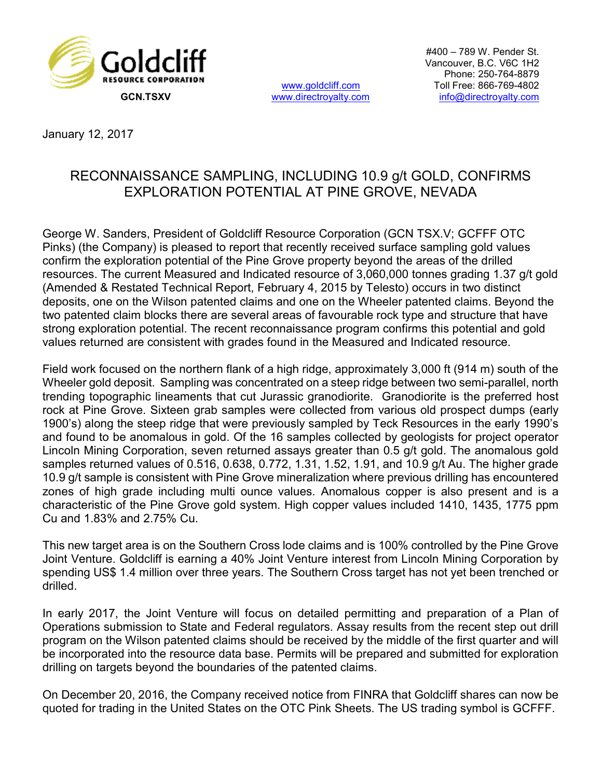

www.goldcliff.com

#400 – 789 W. Pender St. Vancouver, B.C. V6C 1H2 Phone: 250-764-8879 Toll Free: 866-769-4802 GCN.TSXV www.directroyalty.com info@directroyalty.com

January 12, 2017

## RECONNAISSANCE SAMPLING, INCLUDING 10.9 g/t GOLD, CONFIRMS EXPLORATION POTENTIAL AT PINE GROVE, NEVADA

George W. Sanders, President of Goldcliff Resource Corporation (GCN TSX.V; GCFFF OTC Pinks) (the Company) is pleased to report that recently received surface sampling gold values confirm the exploration potential of the Pine Grove property beyond the areas of the drilled resources. The current Measured and Indicated resource of 3,060,000 tonnes grading 1.37 g/t gold (Amended & Restated Technical Report, February 4, 2015 by Telesto) occurs in two distinct deposits, one on the Wilson patented claims and one on the Wheeler patented claims. Beyond the two patented claim blocks there are several areas of favourable rock type and structure that have strong exploration potential. The recent reconnaissance program confirms this potential and gold values returned are consistent with grades found in the Measured and Indicated resource.

Field work focused on the northern flank of a high ridge, approximately 3,000 ft (914 m) south of the Wheeler gold deposit. Sampling was concentrated on a steep ridge between two semi-parallel, north trending topographic lineaments that cut Jurassic granodiorite. Granodiorite is the preferred host rock at Pine Grove. Sixteen grab samples were collected from various old prospect dumps (early 1900's) along the steep ridge that were previously sampled by Teck Resources in the early 1990's and found to be anomalous in gold. Of the 16 samples collected by geologists for project operator Lincoln Mining Corporation, seven returned assays greater than 0.5 g/t gold. The anomalous gold samples returned values of 0.516, 0.638, 0.772, 1.31, 1.52, 1.91, and 10.9 g/t Au. The higher grade 10.9 g/t sample is consistent with Pine Grove mineralization where previous drilling has encountered zones of high grade including multi ounce values. Anomalous copper is also present and is a characteristic of the Pine Grove gold system. High copper values included 1410, 1435, 1775 ppm Cu and 1.83% and 2.75% Cu.

This new target area is on the Southern Cross lode claims and is 100% controlled by the Pine Grove Joint Venture. Goldcliff is earning a 40% Joint Venture interest from Lincoln Mining Corporation by spending US\$ 1.4 million over three years. The Southern Cross target has not yet been trenched or drilled.

In early 2017, the Joint Venture will focus on detailed permitting and preparation of a Plan of Operations submission to State and Federal regulators. Assay results from the recent step out drill program on the Wilson patented claims should be received by the middle of the first quarter and will be incorporated into the resource data base. Permits will be prepared and submitted for exploration drilling on targets beyond the boundaries of the patented claims.

On December 20, 2016, the Company received notice from FINRA that Goldcliff shares can now be quoted for trading in the United States on the OTC Pink Sheets. The US trading symbol is GCFFF.